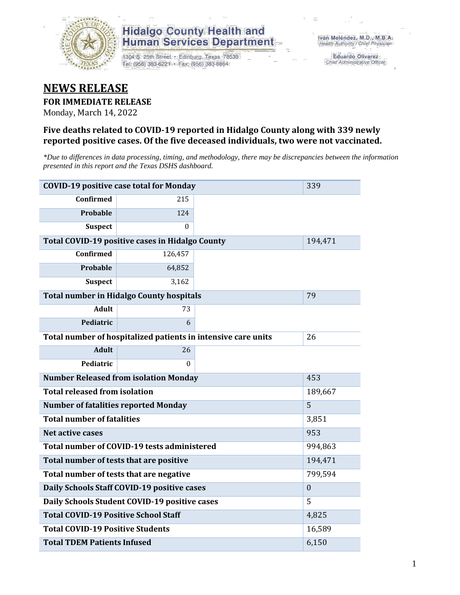

1304 S. 25th Street · Edinburg, Texas 78539 Tel: (956) 383-6221 · Fax: (956) 383-8864

**Eduardo Olivarez** Chief Administrative Officer

### **NEWS RELEASE**

#### **FOR IMMEDIATE RELEASE**

Monday, March 14, 2022

#### **Five deaths related to COVID-19 reported in Hidalgo County along with 339 newly reported positive cases. Of the five deceased individuals, two were not vaccinated.**

*\*Due to differences in data processing, timing, and methodology, there may be discrepancies between the information presented in this report and the Texas DSHS dashboard.*

| <b>COVID-19 positive case total for Monday</b> | 339                                                           |                |         |
|------------------------------------------------|---------------------------------------------------------------|----------------|---------|
| <b>Confirmed</b>                               | 215                                                           |                |         |
| Probable                                       | 124                                                           |                |         |
| <b>Suspect</b>                                 | $\Omega$                                                      |                |         |
|                                                | Total COVID-19 positive cases in Hidalgo County               |                | 194,471 |
| <b>Confirmed</b>                               | 126,457                                                       |                |         |
| Probable                                       | 64,852                                                        |                |         |
| <b>Suspect</b>                                 | 3,162                                                         |                |         |
|                                                | <b>Total number in Hidalgo County hospitals</b>               |                | 79      |
| <b>Adult</b>                                   | 73                                                            |                |         |
| Pediatric                                      | 6                                                             |                |         |
|                                                | Total number of hospitalized patients in intensive care units | 26             |         |
| <b>Adult</b>                                   | 26                                                            |                |         |
| Pediatric                                      | 0                                                             |                |         |
| <b>Number Released from isolation Monday</b>   |                                                               | 453            |         |
| <b>Total released from isolation</b>           |                                                               | 189,667        |         |
| <b>Number of fatalities reported Monday</b>    |                                                               | 5              |         |
| <b>Total number of fatalities</b>              |                                                               |                | 3,851   |
| Net active cases                               |                                                               |                | 953     |
|                                                | Total number of COVID-19 tests administered                   |                | 994,863 |
| Total number of tests that are positive        |                                                               |                | 194,471 |
| Total number of tests that are negative        |                                                               | 799,594        |         |
| Daily Schools Staff COVID-19 positive cases    |                                                               | $\overline{0}$ |         |
| Daily Schools Student COVID-19 positive cases  |                                                               | 5              |         |
| <b>Total COVID-19 Positive School Staff</b>    |                                                               | 4,825          |         |
| <b>Total COVID-19 Positive Students</b>        |                                                               |                | 16,589  |
| <b>Total TDEM Patients Infused</b>             |                                                               | 6,150          |         |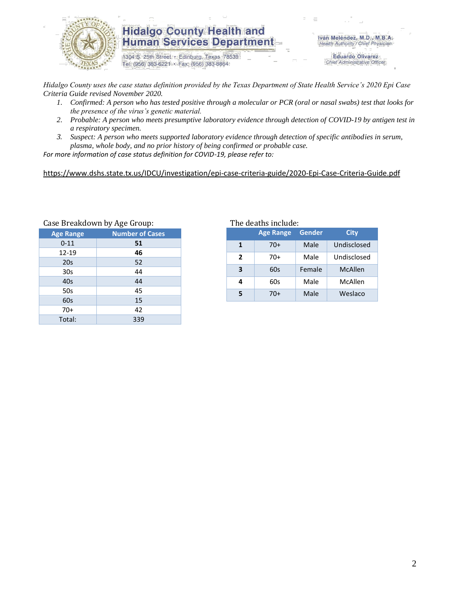

1304 S. 25th Street · Edinburg, Texas 78539 Tel: (956) 383-6221 · Fax: (956) 383-8864

Iván Meléndez, M.D., M.B.A. Health Authority / Chief Physician

> **Eduardo Olivarez** Chief Administrative Officer

*Hidalgo County uses the case status definition provided by the Texas Department of State Health Service's 2020 Epi Case Criteria Guide revised November 2020.*

- *1. Confirmed: A person who has tested positive through a molecular or PCR (oral or nasal swabs) test that looks for the presence of the virus's genetic material.*
- *2. Probable: A person who meets presumptive laboratory evidence through detection of COVID-19 by antigen test in a respiratory specimen.*
- *3. Suspect: A person who meets supported laboratory evidence through detection of specific antibodies in serum, plasma, whole body, and no prior history of being confirmed or probable case.*

*For more information of case status definition for COVID-19, please refer to:*

<https://www.dshs.state.tx.us/IDCU/investigation/epi-case-criteria-guide/2020-Epi-Case-Criteria-Guide.pdf>

| Gase Dieakuuwii by Age Gioup. |  |  |  |  |  |  |
|-------------------------------|--|--|--|--|--|--|
| <b>Number of Cases</b>        |  |  |  |  |  |  |
| 51                            |  |  |  |  |  |  |
| 46                            |  |  |  |  |  |  |
| 52                            |  |  |  |  |  |  |
| 44                            |  |  |  |  |  |  |
| 44                            |  |  |  |  |  |  |
| 45                            |  |  |  |  |  |  |
| 15                            |  |  |  |  |  |  |
| 42                            |  |  |  |  |  |  |
| 339                           |  |  |  |  |  |  |
|                               |  |  |  |  |  |  |

Case Breakdown by Age Group: The deaths include:

|   | <b>Age Range</b> | Gender | <b>City</b> |
|---|------------------|--------|-------------|
| 1 | 70+              | Male   | Undisclosed |
| 2 | $70+$            | Male   | Undisclosed |
| 3 | 60s              | Female | McAllen     |
| 4 | 60s              | Male   | McAllen     |
| 5 | 70+              | Male   | Weslaco     |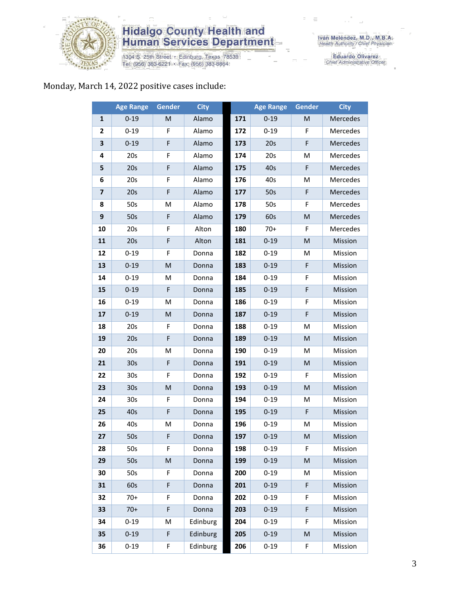

1304 S. 25th Street • Edinburg, Texas 78539<br>Tel: (956) 383-6221 • Fax: (956) 383-8864

Iván Meléndez, M.D., M.B.A.<br>Health Authority / Chief Physician

Eduardo Olivarez<br>Chief Administrative Officer

### Monday, March 14, 2022 positive cases include:

|                         | <b>Age Range</b> | <b>Gender</b> | <b>City</b> |     | <b>Age Range</b> | Gender    | <b>City</b> |
|-------------------------|------------------|---------------|-------------|-----|------------------|-----------|-------------|
| 1                       | $0 - 19$         | M             | Alamo       | 171 | $0 - 19$         | M         | Mercedes    |
| $\mathbf{2}$            | $0 - 19$         | F             | Alamo       | 172 | $0 - 19$         | F         | Mercedes    |
| 3                       | $0 - 19$         | F             | Alamo       | 173 | 20s              | F         | Mercedes    |
| 4                       | 20s              | F             | Alamo       | 174 | 20s              | M         | Mercedes    |
| 5                       | 20s              | F             | Alamo       | 175 | 40s              | F         | Mercedes    |
| 6                       | 20s              | F             | Alamo       | 176 | 40s              | M         | Mercedes    |
| $\overline{\mathbf{z}}$ | 20s              | F             | Alamo       | 177 | 50s              | F         | Mercedes    |
| 8                       | 50s              | M             | Alamo       | 178 | 50s              | F         | Mercedes    |
| 9                       | 50s              | F             | Alamo       | 179 | 60s              | M         | Mercedes    |
| 10                      | 20s              | F             | Alton       | 180 | $70+$            | F         | Mercedes    |
| 11                      | 20s              | F             | Alton       | 181 | $0 - 19$         | M         | Mission     |
| 12                      | $0 - 19$         | F             | Donna       | 182 | $0 - 19$         | M         | Mission     |
| 13                      | $0 - 19$         | M             | Donna       | 183 | $0 - 19$         | F         | Mission     |
| 14                      | $0 - 19$         | M             | Donna       | 184 | $0 - 19$         | F         | Mission     |
| 15                      | $0 - 19$         | F             | Donna       | 185 | $0 - 19$         | F         | Mission     |
| 16                      | $0 - 19$         | M             | Donna       | 186 | $0 - 19$         | F         | Mission     |
| 17                      | $0 - 19$         | M             | Donna       | 187 | $0 - 19$         | F         | Mission     |
| 18                      | 20s              | F             | Donna       | 188 | $0 - 19$         | M         | Mission     |
| 19                      | 20s              | F             | Donna       | 189 | $0 - 19$         | ${\sf M}$ | Mission     |
| 20                      | 20s              | M             | Donna       | 190 | $0 - 19$         | M         | Mission     |
| 21                      | 30 <sub>s</sub>  | F             | Donna       | 191 | $0 - 19$         | M         | Mission     |
| 22                      | 30 <sub>s</sub>  | F             | Donna       | 192 | $0 - 19$         | F         | Mission     |
| 23                      | 30 <sub>s</sub>  | M             | Donna       | 193 | $0 - 19$         | M         | Mission     |
| 24                      | 30s              | F             | Donna       | 194 | $0 - 19$         | M         | Mission     |
| 25                      | 40s              | F             | Donna       | 195 | $0 - 19$         | F         | Mission     |
| 26                      | 40s              | M             | Donna       | 196 | $0 - 19$         | M         | Mission     |
| 27                      | 50s              | F             | Donna       | 197 | $0 - 19$         | M         | Mission     |
| 28                      | 50s              | F.            | Donna       | 198 | 0-19             | F.        | Mission     |
| 29                      | 50s              | M             | Donna       | 199 | $0 - 19$         | M         | Mission     |
| 30                      | 50s              | F             | Donna       | 200 | $0 - 19$         | M         | Mission     |
| 31                      | 60s              | F             | Donna       | 201 | $0 - 19$         | F         | Mission     |
| 32                      | $70+$            | F             | Donna       | 202 | $0 - 19$         | F         | Mission     |
| 33                      | $70+$            | F             | Donna       | 203 | $0 - 19$         | F         | Mission     |
| 34                      | $0 - 19$         | M             | Edinburg    | 204 | $0 - 19$         | F         | Mission     |
| 35                      | $0 - 19$         | F             | Edinburg    | 205 | $0 - 19$         | M         | Mission     |
| 36                      | $0 - 19$         | F             | Edinburg    | 206 | $0 - 19$         | F         | Mission     |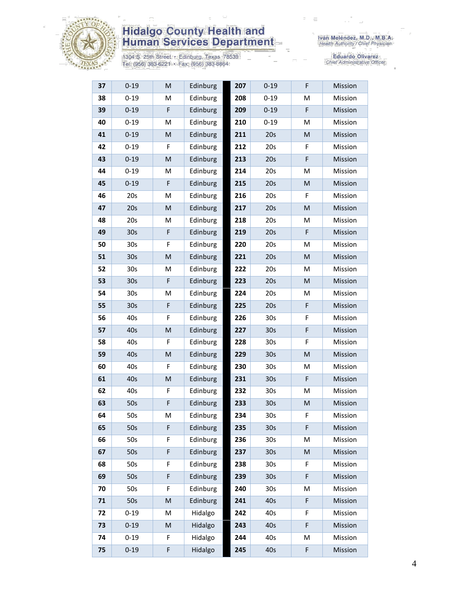

1304 S. 25th Street • Edinburg, Texas 78539<br>Tel: (956) 383-6221 • Fax: (956) 383-8864

Eduardo Olivarez<br>Chief Administrative Officer

| 37 | $0 - 19$        | M           | Edinburg | 207 | $0 - 19$        | F                                                                                                          | Mission |
|----|-----------------|-------------|----------|-----|-----------------|------------------------------------------------------------------------------------------------------------|---------|
| 38 | $0 - 19$        | M           | Edinburg | 208 | $0 - 19$        | M                                                                                                          | Mission |
| 39 | $0 - 19$        | F           | Edinburg | 209 | $0 - 19$        | F                                                                                                          | Mission |
| 40 | $0 - 19$        | M           | Edinburg | 210 | $0 - 19$        | M                                                                                                          | Mission |
| 41 | $0 - 19$        | M           | Edinburg | 211 | 20s             | M                                                                                                          | Mission |
| 42 | $0 - 19$        | F           | Edinburg | 212 | 20s             | F                                                                                                          | Mission |
| 43 | $0 - 19$        | M           | Edinburg | 213 | 20s             | F                                                                                                          | Mission |
| 44 | $0 - 19$        | М           | Edinburg | 214 | 20s             | M                                                                                                          | Mission |
| 45 | $0 - 19$        | $\mathsf F$ | Edinburg | 215 | 20s             | M                                                                                                          | Mission |
| 46 | 20s             | M           | Edinburg | 216 | 20s             | F                                                                                                          | Mission |
| 47 | 20s             | M           | Edinburg | 217 | 20s             | M                                                                                                          | Mission |
| 48 | 20s             | M           | Edinburg | 218 | 20s             | M                                                                                                          | Mission |
| 49 | 30 <sub>s</sub> | F           | Edinburg | 219 | 20s             | F                                                                                                          | Mission |
| 50 | 30 <sub>s</sub> | F           | Edinburg | 220 | 20s             | M                                                                                                          | Mission |
| 51 | 30 <sub>s</sub> | M           | Edinburg | 221 | 20s             | M                                                                                                          | Mission |
| 52 | 30 <sub>s</sub> | M           | Edinburg | 222 | 20s             | M                                                                                                          | Mission |
| 53 | 30 <sub>s</sub> | $\mathsf F$ | Edinburg | 223 | 20s             | M                                                                                                          | Mission |
| 54 | 30 <sub>s</sub> | M           | Edinburg | 224 | 20s             | M                                                                                                          | Mission |
| 55 | 30s             | F           | Edinburg | 225 | 20s             | F                                                                                                          | Mission |
| 56 | 40s             | F           | Edinburg | 226 | 30 <sub>s</sub> | F                                                                                                          | Mission |
| 57 | 40s             | M           | Edinburg | 227 | 30 <sub>s</sub> | F                                                                                                          | Mission |
| 58 | 40s             | F           | Edinburg | 228 | 30 <sub>s</sub> | F                                                                                                          | Mission |
| 59 | 40s             | ${\sf M}$   | Edinburg | 229 | 30 <sub>s</sub> | M                                                                                                          | Mission |
| 60 | 40s             | F           | Edinburg | 230 | 30 <sub>s</sub> | M                                                                                                          | Mission |
| 61 | 40s             | M           | Edinburg | 231 | 30 <sub>s</sub> | F                                                                                                          | Mission |
| 62 | 40s             | F           | Edinburg | 232 | 30s             | M                                                                                                          | Mission |
| 63 | 50s             | $\mathsf F$ | Edinburg | 233 | 30 <sub>s</sub> | $\mathsf{M}% _{T}=\mathsf{M}_{T}\!\left( a,b\right) ,\ \mathsf{M}_{T}=\mathsf{M}_{T}\!\left( a,b\right) ,$ | Mission |
| 64 | 50s             | M           | Edinburg | 234 | 30 <sub>s</sub> | F                                                                                                          | Mission |
| 65 | 50s             | F           | Edinburg | 235 | 30 <sub>s</sub> | F                                                                                                          | Mission |
| 66 | 50s             | F           | Edinburg | 236 | 30 <sub>s</sub> | M                                                                                                          | Mission |
| 67 | 50s             | F           | Edinburg | 237 | 30 <sub>s</sub> | M                                                                                                          | Mission |
| 68 | 50s             | F           | Edinburg | 238 | 30 <sub>s</sub> | F                                                                                                          | Mission |
| 69 | 50s             | $\mathsf F$ | Edinburg | 239 | 30 <sub>s</sub> | F                                                                                                          | Mission |
| 70 | 50s             | F           | Edinburg | 240 | 30 <sub>s</sub> | M                                                                                                          | Mission |
| 71 | 50s             | M           | Edinburg | 241 | 40s             | F                                                                                                          | Mission |
| 72 | $0 - 19$        | M           | Hidalgo  | 242 | 40s             | F                                                                                                          | Mission |
| 73 | $0 - 19$        | M           | Hidalgo  | 243 | 40s             | F                                                                                                          | Mission |
| 74 | $0 - 19$        | F           | Hidalgo  | 244 | 40s             | M                                                                                                          | Mission |
| 75 | $0 - 19$        | F           | Hidalgo  | 245 | 40s             | F                                                                                                          | Mission |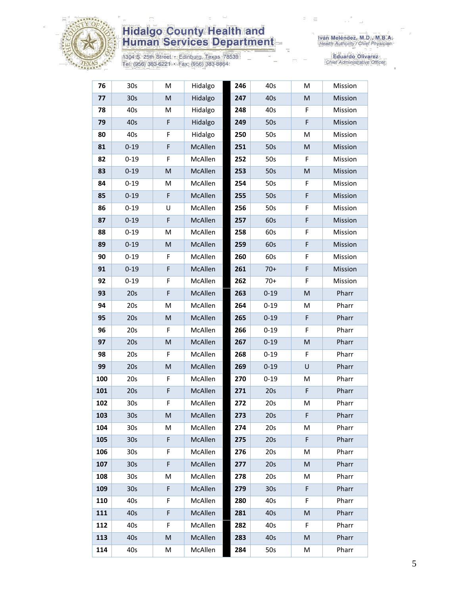

1304 S. 25th Street • Edinburg, Texas 78539<br>Tel: (956) 383-6221 • Fax: (956) 383-8864

Iván Meléndez, M.D., M.B.A.<br>Health Authority / Chief Physician

Eduardo Olivarez<br>Chief Administrative Officer

| 76  | 30s             | M            | Hidalgo | 246 | 40s             | M         | Mission |
|-----|-----------------|--------------|---------|-----|-----------------|-----------|---------|
| 77  | 30 <sub>s</sub> | M            | Hidalgo | 247 | 40s             | ${\sf M}$ | Mission |
| 78  | 40s             | M            | Hidalgo | 248 | 40s             | F         | Mission |
| 79  | 40s             | F            | Hidalgo | 249 | 50s             | F         | Mission |
| 80  | 40s             | F            | Hidalgo | 250 | 50s             | M         | Mission |
| 81  | $0 - 19$        | F            | McAllen | 251 | 50s             | M         | Mission |
| 82  | $0 - 19$        | F            | McAllen | 252 | 50s             | F         | Mission |
| 83  | $0 - 19$        | M            | McAllen | 253 | 50s             | M         | Mission |
| 84  | $0 - 19$        | M            | McAllen | 254 | 50s             | F         | Mission |
| 85  | $0 - 19$        | F            | McAllen | 255 | 50s             | F         | Mission |
| 86  | $0 - 19$        | U            | McAllen | 256 | 50s             | F         | Mission |
| 87  | $0 - 19$        | F            | McAllen | 257 | 60s             | F         | Mission |
| 88  | $0 - 19$        | M            | McAllen | 258 | 60s             | F         | Mission |
| 89  | $0 - 19$        | M            | McAllen | 259 | 60s             | F         | Mission |
| 90  | $0 - 19$        | F            | McAllen | 260 | 60s             | F         | Mission |
| 91  | $0 - 19$        | F            | McAllen | 261 | $70+$           | F         | Mission |
| 92  | $0 - 19$        | F            | McAllen | 262 | $70+$           | F         | Mission |
| 93  | 20s             | F            | McAllen | 263 | $0 - 19$        | M         | Pharr   |
| 94  | 20s             | M            | McAllen | 264 | $0 - 19$        | M         | Pharr   |
| 95  | 20s             | M            | McAllen | 265 | $0 - 19$        | F         | Pharr   |
| 96  | 20s             | F            | McAllen | 266 | $0 - 19$        | F         | Pharr   |
| 97  | 20s             | M            | McAllen | 267 | $0 - 19$        | M         | Pharr   |
| 98  | 20s             | F            | McAllen | 268 | $0 - 19$        | F         | Pharr   |
| 99  | 20s             | M            | McAllen | 269 | $0 - 19$        | $\sf U$   | Pharr   |
| 100 | 20s             | F            | McAllen | 270 | $0 - 19$        | M         | Pharr   |
| 101 | 20s             | F            | McAllen | 271 | 20s             | F         | Pharr   |
| 102 | 30 <sub>s</sub> | F            | McAllen | 272 | 20s             | M         | Pharr   |
| 103 | 30 <sub>s</sub> | $\mathsf{M}$ | McAllen | 273 | 20s             | F         | Pharr   |
| 104 | 30 <sub>s</sub> | М            | McAllen | 274 | 20s             | M         | Pharr   |
| 105 | 30 <sub>s</sub> | F            | McAllen | 275 | 20s             | F         | Pharr   |
| 106 | 30 <sub>s</sub> | F            | McAllen | 276 | 20s             | M         | Pharr   |
| 107 | 30 <sub>s</sub> | F            | McAllen | 277 | 20s             | M         | Pharr   |
| 108 | 30s             | М            | McAllen | 278 | 20s             | M         | Pharr   |
| 109 | 30 <sub>s</sub> | F            | McAllen | 279 | 30 <sub>s</sub> | F         | Pharr   |
| 110 | 40s             | F            | McAllen | 280 | 40s             | F         | Pharr   |
| 111 | 40s             | F            | McAllen | 281 | 40s             | M         | Pharr   |
| 112 | 40s             | F            | McAllen | 282 | 40s             | F         | Pharr   |
| 113 | 40s             | M            | McAllen | 283 | 40 <sub>s</sub> | M         | Pharr   |
| 114 | 40s             | M            | McAllen | 284 | 50s             | M         | Pharr   |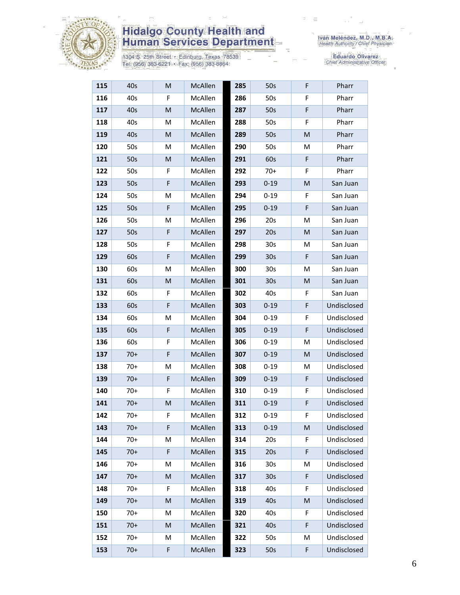

1304 S. 25th Street • Edinburg, Texas 78539<br>Tel: (956) 383-6221 • Fax: (956) 383-8864

Eduardo Olivarez<br>Chief Administrative Officer

| 115 | 40s   | M           | McAllen | 285 | 50s             | F | Pharr       |
|-----|-------|-------------|---------|-----|-----------------|---|-------------|
| 116 | 40s   | F           | McAllen | 286 | 50s             | F | Pharr       |
| 117 | 40s   | M           | McAllen | 287 | 50s             | F | Pharr       |
| 118 | 40s   | M           | McAllen | 288 | 50s             | F | Pharr       |
| 119 | 40s   | M           | McAllen | 289 | 50s             | M | Pharr       |
| 120 | 50s   | М           | McAllen | 290 | 50s             | M | Pharr       |
| 121 | 50s   | M           | McAllen | 291 | 60s             | F | Pharr       |
| 122 | 50s   | F           | McAllen | 292 | $70+$           | F | Pharr       |
| 123 | 50s   | $\mathsf F$ | McAllen | 293 | $0 - 19$        | M | San Juan    |
| 124 | 50s   | Μ           | McAllen | 294 | $0 - 19$        | F | San Juan    |
| 125 | 50s   | F           | McAllen | 295 | $0 - 19$        | F | San Juan    |
| 126 | 50s   | M           | McAllen | 296 | 20s             | М | San Juan    |
| 127 | 50s   | F           | McAllen | 297 | 20s             | M | San Juan    |
| 128 | 50s   | F           | McAllen | 298 | 30 <sub>s</sub> | М | San Juan    |
| 129 | 60s   | F           | McAllen | 299 | 30 <sub>s</sub> | F | San Juan    |
| 130 | 60s   | M           | McAllen | 300 | 30 <sub>s</sub> | M | San Juan    |
| 131 | 60s   | M           | McAllen | 301 | 30 <sub>s</sub> | M | San Juan    |
| 132 | 60s   | F           | McAllen | 302 | 40s             | F | San Juan    |
| 133 | 60s   | F           | McAllen | 303 | $0 - 19$        | F | Undisclosed |
| 134 | 60s   | M           | McAllen | 304 | $0 - 19$        | F | Undisclosed |
| 135 | 60s   | F           | McAllen | 305 | $0 - 19$        | F | Undisclosed |
| 136 | 60s   | F           | McAllen | 306 | $0 - 19$        | М | Undisclosed |
| 137 | $70+$ | $\mathsf F$ | McAllen | 307 | $0 - 19$        | M | Undisclosed |
| 138 | $70+$ | Μ           | McAllen | 308 | $0 - 19$        | M | Undisclosed |
| 139 | $70+$ | F           | McAllen | 309 | $0 - 19$        | F | Undisclosed |
| 140 | $70+$ | F           | McAllen | 310 | $0 - 19$        | F | Undisclosed |
| 141 | $70+$ | M           | McAllen | 311 | $0 - 19$        | F | Undisclosed |
| 142 | $70+$ | F           | McAllen | 312 | $0 - 19$        | F | Undisclosed |
| 143 | $70+$ | F           | McAllen | 313 | $0 - 19$        | M | Undisclosed |
| 144 | $70+$ | M           | McAllen | 314 | 20s             | F | Undisclosed |
| 145 | $70+$ | F           | McAllen | 315 | 20s             | F | Undisclosed |
| 146 | $70+$ | M           | McAllen | 316 | 30 <sub>s</sub> | M | Undisclosed |
| 147 | $70+$ | M           | McAllen | 317 | 30s             | F | Undisclosed |
| 148 | $70+$ | F           | McAllen | 318 | 40s             | F | Undisclosed |
| 149 | $70+$ | M           | McAllen | 319 | 40s             | M | Undisclosed |
| 150 | $70+$ | M           | McAllen | 320 | 40s             | F | Undisclosed |
| 151 | $70+$ | M           | McAllen | 321 | 40s             | F | Undisclosed |
| 152 | $70+$ | M           | McAllen | 322 | 50s             | M | Undisclosed |
| 153 | $70+$ | F           | McAllen | 323 | 50s             | F | Undisclosed |